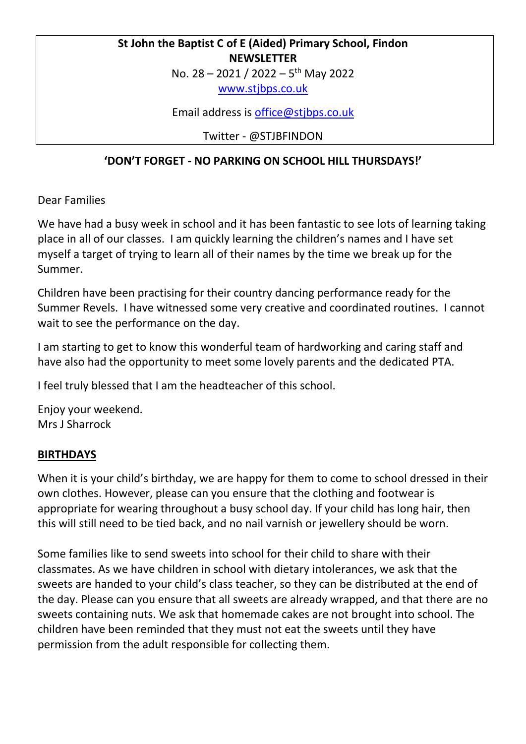# **St John the Baptist C of E (Aided) Primary School, Findon NEWSLETTER**

No. 28 - 2021 / 2022 - 5<sup>th</sup> May 2022

[www.stjbps.co.uk](http://www.stjbps.co.uk/)

Email address is [office@stjbps.co.uk](mailto:office@stjbps.co.uk)

Twitter - @STJBFINDON

# **'DON'T FORGET - NO PARKING ON SCHOOL HILL THURSDAYS!'**

Dear Families

We have had a busy week in school and it has been fantastic to see lots of learning taking place in all of our classes. I am quickly learning the children's names and I have set myself a target of trying to learn all of their names by the time we break up for the Summer.

Children have been practising for their country dancing performance ready for the Summer Revels. I have witnessed some very creative and coordinated routines. I cannot wait to see the performance on the day.

I am starting to get to know this wonderful team of hardworking and caring staff and have also had the opportunity to meet some lovely parents and the dedicated PTA.

I feel truly blessed that I am the headteacher of this school.

Enjoy your weekend. Mrs J Sharrock

## **BIRTHDAYS**

When it is your child's birthday, we are happy for them to come to school dressed in their own clothes. However, please can you ensure that the clothing and footwear is appropriate for wearing throughout a busy school day. If your child has long hair, then this will still need to be tied back, and no nail varnish or jewellery should be worn.

Some families like to send sweets into school for their child to share with their classmates. As we have children in school with dietary intolerances, we ask that the sweets are handed to your child's class teacher, so they can be distributed at the end of the day. Please can you ensure that all sweets are already wrapped, and that there are no sweets containing nuts. We ask that homemade cakes are not brought into school. The children have been reminded that they must not eat the sweets until they have permission from the adult responsible for collecting them.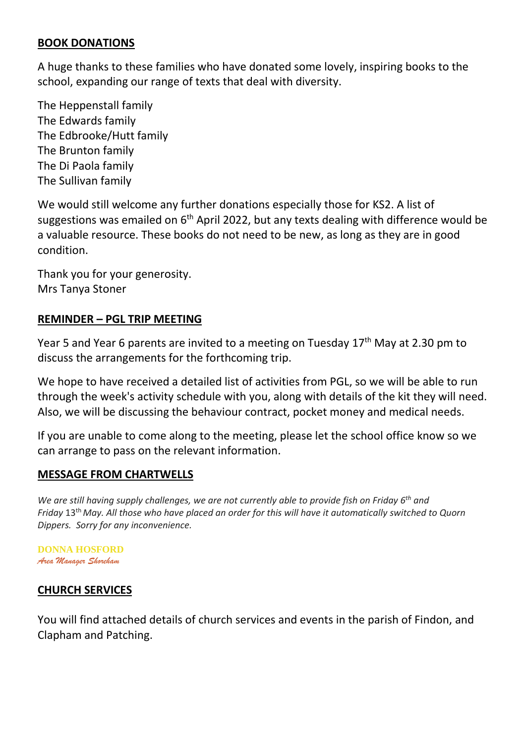#### **BOOK DONATIONS**

A huge thanks to these families who have donated some lovely, inspiring books to the school, expanding our range of texts that deal with diversity.

The Heppenstall family The Edwards family The Edbrooke/Hutt family The Brunton family The Di Paola family The Sullivan family

We would still welcome any further donations especially those for KS2. A list of suggestions was emailed on 6<sup>th</sup> April 2022, but any texts dealing with difference would be a valuable resource. These books do not need to be new, as long as they are in good condition.

Thank you for your generosity. Mrs Tanya Stoner

### **REMINDER – PGL TRIP MEETING**

Year 5 and Year 6 parents are invited to a meeting on Tuesday  $17<sup>th</sup>$  May at 2.30 pm to discuss the arrangements for the forthcoming trip.

We hope to have received a detailed list of activities from PGL, so we will be able to run through the week's activity schedule with you, along with details of the kit they will need. Also, we will be discussing the behaviour contract, pocket money and medical needs.

If you are unable to come along to the meeting, please let the school office know so we can arrange to pass on the relevant information.

### **MESSAGE FROM CHARTWELLS**

We are still having supply challenges, we are not currently able to provide fish on Friday 6<sup>th</sup> and Friday 13<sup>th</sup> May. All those who have placed an order for this will have it automatically switched to Quorn *Dippers. Sorry for any inconvenience.*

**DONNA HOSFORD** *Area Manager Shoreham*

### **CHURCH SERVICES**

You will find attached details of church services and events in the parish of Findon, and Clapham and Patching.